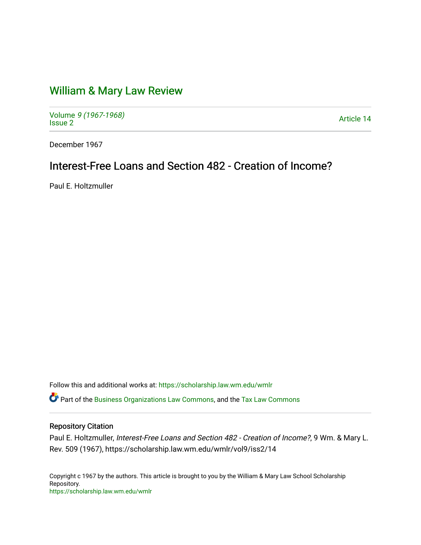## [William & Mary Law Review](https://scholarship.law.wm.edu/wmlr)

Volume [9 \(1967-1968\)](https://scholarship.law.wm.edu/wmlr/vol9)  Volume 9 (1907-1906)<br>[Issue 2](https://scholarship.law.wm.edu/wmlr/vol9/iss2) Article 14

December 1967

# Interest-Free Loans and Section 482 - Creation of Income?

Paul E. Holtzmuller

Follow this and additional works at: [https://scholarship.law.wm.edu/wmlr](https://scholarship.law.wm.edu/wmlr?utm_source=scholarship.law.wm.edu%2Fwmlr%2Fvol9%2Fiss2%2F14&utm_medium=PDF&utm_campaign=PDFCoverPages)

Part of the [Business Organizations Law Commons](http://network.bepress.com/hgg/discipline/900?utm_source=scholarship.law.wm.edu%2Fwmlr%2Fvol9%2Fiss2%2F14&utm_medium=PDF&utm_campaign=PDFCoverPages), and the [Tax Law Commons](http://network.bepress.com/hgg/discipline/898?utm_source=scholarship.law.wm.edu%2Fwmlr%2Fvol9%2Fiss2%2F14&utm_medium=PDF&utm_campaign=PDFCoverPages)

## Repository Citation

Paul E. Holtzmuller, Interest-Free Loans and Section 482 - Creation of Income?, 9 Wm. & Mary L. Rev. 509 (1967), https://scholarship.law.wm.edu/wmlr/vol9/iss2/14

Copyright c 1967 by the authors. This article is brought to you by the William & Mary Law School Scholarship Repository. <https://scholarship.law.wm.edu/wmlr>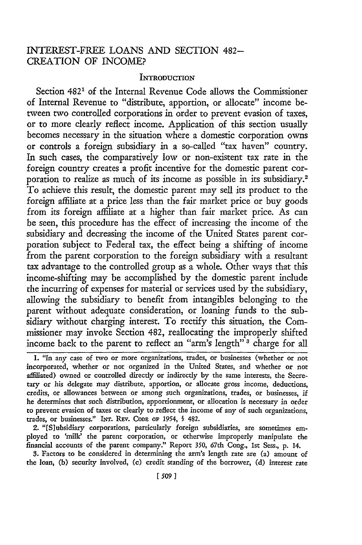## INTEREST-FREE LOANS AND SECTION 482- CREATION OF INCOME?

#### **INTRODUCTION**

Section 482<sup>1</sup> of the Internal Revenue Code allows the Commissioner of Internal Revenue to "distribute, apportion, or allocate" income betveen two controlled corporations in order to prevent evasion of taxes, or to more clearly reflect income. Application of this section usually becomes necessary in the situation where a domestic corporation owns or controls a foreign subsidiary in a so-called "tax haven" country. In such cases, the comparatively low or non-existent tax rate in the foreign country creates a profit incentive for the domestic parent corporation to realize as much of its income as possible in its subsidiary.<sup>2</sup> To achieve this result, the domestic parent may sell its product to the foreign affiliate at a price less than the fair market price or buy goods from its foreign affiliate at a higher than fair market price. As can be seen, this procedure has the effect of increasing the income of the subsidiary and decreasing the income of the United States parent corporation subject to Federal tax, the effect being a shifting of income from the parent corporation to the foreign subsidiary with a resultant tax advantage to the controlled group as a whole. Other ways that this income-shifting may be accomplished by the domestic parent include the incurring of expenses for material or services used by the subsidiary, allowing the subsidiary to benefit from intangibles belonging to the parent without adequate consideration, or loaning funds to the subsidiary without charging interest. To rectify this situation, the Commissioner may invoke Section 482, reallocating the improperly shifted income back to the parent to reflect an "arm's length" **3** charge for all

2. "[Slubsidiary corporations, particularly foreign subsidiaries, are sometimes employed to 'milk' the parent corporation, or otherwise improperly manipulate the financial accounts of the parent company." Report **350,** 67th Cong., **1st** Sess., **p.** 14.

**3.** Factors to be considered in determining the arm's length rate are (a) amount of the loan, **(b)** security involved, (c) credit standing of the borrower, **(d)** interest rate

<sup>1. &</sup>quot;In any case of two or more organizations, trades, or businesses (whether or not incorporated, whether or not organized in the United States, and whether or not affiliated) owned or controlled directly or indirectly by the same interests, the Secretary or his delegate may distribute, apportion, or allocate gross income, deductions, credits, or allowances between or among such organizations, trades, or businesses, if he determines that such distribution, apportionment, or allocation is necessary in order to prevent evasion of taxes or clearly to reflect the income of any of such organizations, trades, or businesses." **INT.** REv. **CoDE oF** *1954,* § 482.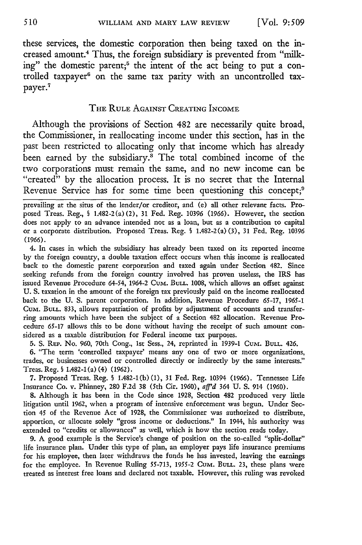these services, the domestic corporation then being taxed on the increased amount.4 Thus, the foreign subsidiary is prevented from "milking" the domestic parent;<sup>5</sup> the intent of the act being to put a controlled taxpayer<sup>6</sup> on the same tax parity with an uncontrolled taxpayer. 7

#### THE RULE AGAINST CREATING INCOME

Although the provisions of Section 482 are necessarily quite broad, the Commissioner, in reallocating income under this section, has in the past been restricted to allocating only that income which has already been earned by the subsidiary. The total combined income of the two corporations must remain the same, and no new income can be "created" by the allocation process. It is no secret that the Internal Revenue Service has for some time been questioning this concept;<sup>9</sup>

prevailing at the situs of the lender/or creditor, and (e) all other relevant facts. Proposed Treas. Reg., § 1.482-2(a) (2), 31 Fed. Reg. 10396 (1966). However, the section does not apply to an advance intended not as a loan, but as a contribution to capital or a corporate distribution. Proposed Treas. Reg. § 1.482-2(a) (3), 31 Fed. Reg. 10396 (1966).

4. In cases in which the subsidiary has already been taxed on its reported income by the foreign country, a double taxation effect occurs when this income is reallocated back to the domestic parent corporation and taxed again under Section 482. Since seeking refunds from the foreign country involved has proven useless, the IRS has issued Revenue Procedure 64-54, 1964-2 Cum. BuLL. 1008, which allows an offset against U. S. taxation in the amount of the foreign tax previously paid on the income reallocated back to the U. S. parent corporation. In addition, Revenue Procedure 65-17, 1965-1 **CUM.** BULL. 833, allows repatriation of profits **by** adjustment of accounts and transferring amounts which have been the subject of a Section 482 allocation. Revenue Procedure 65-17 allows this to be done without having the receipt of such amount considered as a taxable distribution for Federal income tax purposes.

5. S. REP. No. 960, 70th Cong., 1st Sess., 24, reprinted in 1939-1 Cum. Bull. 426.

6. "The term 'controlled taxpayer' means any one of two or more organizations, trades, or businesses owned or controlled directly or indirectly by the same interests." Treas. Reg. § 1.482-1 (a) (4) (1962).

**7.** Proposed Treas. Reg. § 1.482-1(b) (1), 31 Fed. Reg. 10394 (1966). Tennessee Life Insurance Co. v. Phinney, 280 F.2d 38 (5th Cir. 1960), *aff'd* 364 U. **S.** 914 (1960).

8. Although it has been in the Code since 1928, Section 482 produced very little litigation until 1962, when a program of intensive enforcement was begun. Under Section 45 of the Revenue Act of 1928, the Commissioner was authorized to distribute, apportion, or allocate solely "gross income or deductions." In 1944, his authority was extended to "credits or allowances" as well, which is how the section reads today.

**9.** A good example is the Service's change of position on the so-called "split-dollar" life insurance plan. Under this type of plan, an employer pays life insurance premiums for his employee, then later withdraws the funds he has invested, leaving the earnings for the employee. In Revenue Ruling 55-713, 1955-2 Cum. BULL. 23, these plans were treated as interest free loans and declared not taxable. However, this ruling was revoked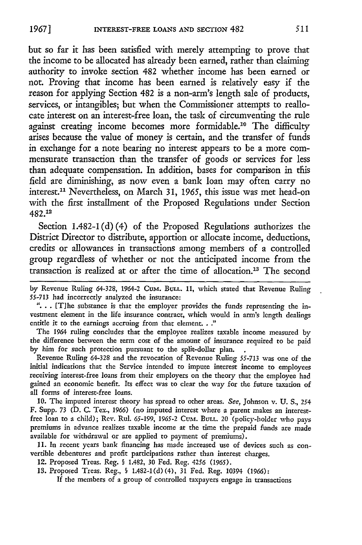but so far it has been satisfied with merely attempting to prove that the income to be allocated has already been earned, rather than claiming authority to invoke section 482 whether income has been earned or not. Proving that income has been earned is relatively easy if the reason for applying Section 482 is a non-arm's length sale of products, services, or intangibles; but when the Commissioner attempts to reallocate interest on an interest-free loan, the task of circumventing the rule against creating income becomes more formidable.<sup>10</sup> The difficulty arises because the value of money is certain, and the transfer of funds in exchange for a note bearing no interest appears to be a more commensurate transaction than the transfer of goods or services for less than adequate compensation. In addition, bases for comparison in tfiis field are diminishing, as now even a bank loan may often carry no interest."- Nevertheless, on March **31,** *1965,* this issue was met head-on with the first installment of the Proposed Regulations under Section 482.12

Section 1.482-1(d) (4) of the Proposed Regulations authorizes the District Director to distribute, apportion or allocate income, deductions, credits or allowances in transactions among members of a controlled group regardless of whether or not the anticipated income from the transaction is realized at or after the time of allocation.<sup>13</sup> The second

the difference between the term cost of the amount of insurance required to be paid by him for such protection pursuant to the split-dollar plan.

Revenue Ruling 64-328 and the revocation of Revenue Ruling 55-713 was one of the initial indications that the Service intended to impute interest income to employees receiving interest-free loans from their employers on the theory that the employee had gained an economic benefit. Its effect was to clear the way for the future taxation of all forms of interest-free loans.

**10.** The imputed interest theory has spread to other areas. *See,* Johnson v. **U.** S., *254* F. Supp. 73 (D. **C.** Tex., 1966) (no imputed interest where a parent makes an interestfree loan to a child); Rev. Rul. **65-199, 1965-2** Cuzxi. **BULL.** 20 (policy-holder who pays premiums in advance realizes taxable income at the time the prepaid funds are made available for withdrawal or are applied to payment of premiums).

**11. In** recent years bank financing has made increased use of devices such as convertible debentures and profit participations rather than interest charges.

12. Proposed Treas. Reg. § 1.482, 30 Fed. Reg. 4256 (1965).

**13.** Proposed Treas. Reg., § 1.482-1(d) (4), **31 Fed.** Reg. 10394 (1966):

**If** the members of a group of controlled taxpayers engage in transactions

by Revenue Ruling 64-328, 1964-2 *CuM.* BULL. **11,** which stated that Revenue Ruling **55-713** had incorrectly analyzed the insurance:

**<sup>&</sup>quot; ..**[Tihe substance is that the employer provides the funds representing the investment element in the life insurance contract, which would in arm's length dealings entitle it to the earnings accruing from that element. **.."** The 1964 ruling concludes that the employee realizes taxable income measured by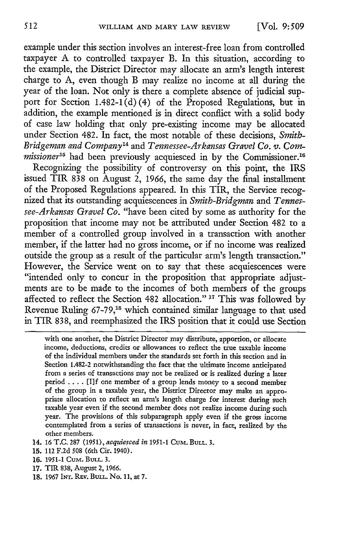example under this section involves an interest-free loan from controlled taxpayer A to controlled taxpayer B. In this situation, according to the example, the District Director may allocate an arm's length interest charge to A, even though B may realize no income at all during the year of the loan. Not only is there a complete absence of judicial support for Section 1.482-1(d)(4) of the Proposed Regulations, but in addition, the example mentioned is in direct conflict with a solid body of case law holding that only pre-existing income may be allocated under Section 482. In fact, the most notable of these decisions, *Smith-Bridgeman and Company14* and *Tennessee-Arkansas Gravel Co. v. Commissioner*<sup>15</sup> had been previously acquiesced in by the Commissioner.<sup>16</sup>

Recognizing the possibility of controversy on this point, the IRS issued TIR 838 on August 2, 1966, the same day the final installment of the Proposed Regulations appeared. In this TIR, the Service recognized that its outstanding acquiescences in *Smith-Bridgman* and *Tennessee-Arkansas Gravel Co.* "have been cited by some as authority for the proposition that income may not be attributed under Section 482 to a member of a controlled group involved in a transaction with another member, if the latter had no gross income, or if no income was realized outside the group as a result of the particular arm's length transaction." However, the Service went on to say that these acquiescences were "intended only to concur in the proposition that appropriate adjustments are to be made to the incomes of both members of the groups affected to reflect the Section 482 allocation." **17** This was followed by Revenue Ruling 67-79,'8 which contained similar language to that used in TIR 838, and reemphasized the IRS position that it could use Section

with one another, the District Director may distribute, apportion, or allocate income, deductions, credits or allowances to reflect the true taxable income of the individual members under the standards set forth in this section and in Section 1.482-2 notwithstanding the fact that the ultimate income anticipated from a series of transactions may not be realized or is realized during a later period  $\dots$ . [I]f one member of a group lends money to a second member of the group in a taxable year, the District Director may make an appropriate allocation to reflect an arm's length charge for interest during such taxable year even if the second member does not realize income during such year. The provisions of this subparagraph apply even if the gross income contemplated from a series of transactions is never, in fact, realized by the other members.

- 14. 16 T.C. 287 (1951), *acquiesced in* **1951-1** CuM. BULL. **3.**
- 15. 112 F.2d 508 (6th Cir. 1940).
- 16. 1951-1 CuM. BULL. 3.
- 17. TIR 838, August 2, 1966.
- 18. 1967 INT. REV. BULL. No. 11, at 7.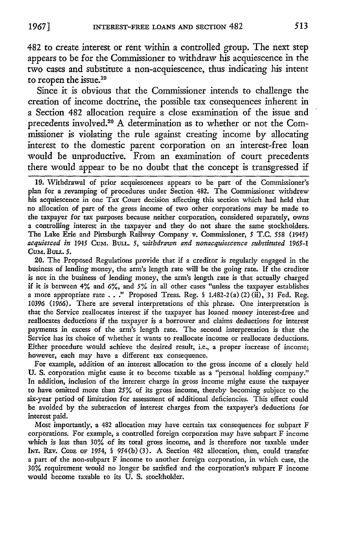482 to create interest or rent within a controlled group. The next step appears to be for the Commissioner to withdraw his acquiescence in the two cases and substitute a non-acquiescence, thus indicating his intent to reopen the issue.<sup>19</sup>

Since it is obvious that the Commissioner intends to challenge the creation of income doctrine, the possible tax consequences inherent in a Section 482 allocation require a close examination of the issue and precedents involved.<sup>20</sup> A determination as to whether or not the Commissioner is violating the rule against creating income by allocating interest to the domestic parent corporation on an interest-free loan would be unproductive. From an examination of court precedents there would appear to be no doubt that the concept is transgressed if

**19.** Withdrawal of prior acquiescences appears to be part of the Commissioner's plan for a revamping of procedures under Section 482. The Commissioner withdrew his acquiescence in one Tax Court decision affecting this section which had held that no allocation of part of the gross income of two other corporations may be made to the taxpayer for tax purposes because neither corporation, considered separately, owns a controlling interest in the taxpayer and they do not share the same stockholders. The Lake Erie and Pittsburgh Railway Company v. Commissioner, 5 T.C. *558* (1945) *acquiesced in* 1945 Cum. **BuLL.** *5, 'withdrawn and nonacquiescence substituted 1965-1 Cum.* Buu.. **5.**

20. The Proposed Regulations provide that if a creditor is regularly engaged in the business of lending money, the arm's length rate will be the going rate. If the creditor is not in the business of lending money, the arm's length rate is that actually charged if it is between 4% and **6%,** and *5%* in all other cases "unless the taxpayer establishes a more appropriate rate . . ." Proposed Treas. Reg. **§** 1.482-2 (a) (2) (ii), 31 Fed. Reg. 10396 (1966). There are several interpretations of this phrase. One interpretation is that the Service reallocates interest if the taxpayer has loaned money interest-free and reallocates deductions if the taxpayer is a borrower and claims deductions for interest payments in excess of the arm's length rate. The second interpretation is that the Service has its choice of whether it wants to reallocate income or reallocate deductions. Either procedure would achieve the desired result, i.e., a proper increase of income; however, each may have a different tax consequence.

For example, addition of an interest allocation to the gross income of a closely held U. S. corporation might cause it to become taxable as a "personal holding company." In addition, inclusion of the interest charge in gross income might cause the taxpayer to have omitted more than *25%* of its gross income, thereby becoming subject to the six-year period of limitation for assessment of additional deficiencies. This effect could be avoided by the subtraction of interest charges from the taxpayer's deductions for interest paid.

Most importantly, a 482 allocation may have certain tax consequences for subpart F corporations. For example, a controlled foreign corporation may have subpart F income which is less than 30% of its total gross income, and is therefore not taxable under INT. REv. **CODE** OF 1954, **§** 954(b) (3). **A** Section 482 allocation, then, could transfer a part of the non-subpart F income to another foreign corporation, in which case, the **30%** requirement would no longer be satisfied and the corporation's subpart F income would become taxable to its **U. S.** stockholder.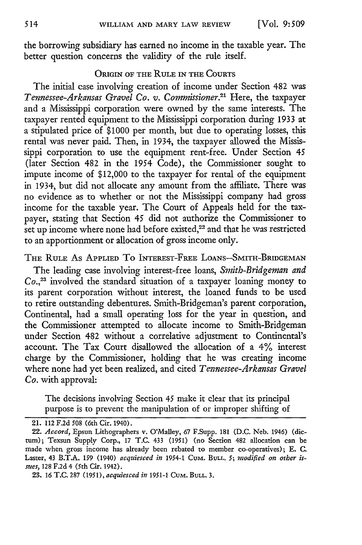the borrowing subsidiary has earned no income in the taxable year. The better question concerns the validity of the rule itself.

#### ORIGIN OF THE RULE **IN** THE **COURTS**

The initial case involving creation of income under Section 482 was *Tennessee-Arkansas Gravel Co. v. Commissioner.2 1* Here, the taxpayer and a Mississippi corporation were owned by the same interests. The taxpayer rented equipment to the Mississippi corporation during 1933 at a stipulated price of \$1000 per month, but due to operating losses, this rental was never paid. Then, in 1934, the taxpayer allowed the Mississippi corporation to use the equipment rent-free. Under Section 45 (later Section 482 in the 1954 Code), the Commissioner sought to impute income of \$12,000 to the taxpayer for rental of the equipment in 1934, but did not allocate any amount from the affiliate. There was no evidence as to whether or not the Mississippi company had gross income for the taxable year. The Court of Appeals held for the taxpayer, stating that Section 45 did not authorize the Commissioner to set up income where none had before existed,<sup>22</sup> and that he was restricted to an apportionment or allocation of gross income only.

THE RULE As APPLIED To INTEREST-FREE **LOANS-SMITH-BRIDGEMAN**

The leading case involving interest-free loans, *Smith-Bridgeman and Co.,23* involved the standard situation of a taxpayer loaning money to its parent corporation without interest, the loaned funds to be used to retire outstanding debentures. Smith-Bridgeman's parent corporation, Continental, had a small operating loss for the year in question, and the Commissioner attempted to allocate income to Smith-Bridgeman under Section 482 without a correlative adjustment to Continental's account. The Tax Court disallowed the allocation of a 4% interest charge by the Commissioner, holding that he was creating income where none had yet been realized, and cited *Tennessee-Arkansas Gravel Co.* with approval:

The decisions involving Section 45 make it clear that its principal purpose is to prevent the manipulation of or improper shifting of

<sup>21. 112</sup> F.2d 508 (6th Cir. 1940).

<sup>22.</sup> *Accord,* Epsun Lithographers v. O'Malley, 67 F.Supp. 181 (D.C. Neb. 1946) (dictum); Texsun Supply Corp., 17 T.C. 433 **(1951)** (no Section 482 allocation can be made when gross income has already been rebated to member co-operatives); E. C. Laster, 43 B.T.A. 159 (1940) *acquiesced in* 1954-1 CuM. **BuLL.** *5; modified on other issues,* 128 F.2d 4 (5th Cir. 1942).

<sup>23. 16</sup> T.C. 287 (1951), *acquiesced in* 1951-1 CuM. **BuLL. 3.**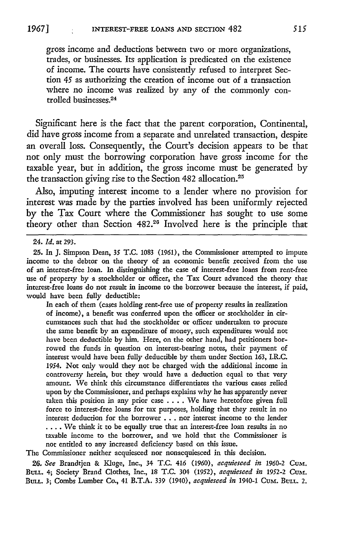gross income and deductions between two or more organizations, trades, or businesses. Its application is predicated on the existence of income. The courts have consistently refused to interpret Section *45* as authorizing the creation of income out of a transaction where no income was realized by any of the commonly controlled businesses. <sup>24</sup>

Significant here is the fact that the parent corporation, Continental, did have gross income from a separate and unrelated transaction, despite an overall loss. Consequently, the Court's decision appears to be that not only must the borrowing corporation have gross income for the taxable year, but in addition, the gross income must be generated by the transaction giving rise to the Section 482 allocation.<sup>25</sup>

Also, imputing interest income to a lender where no provision for interest was made by the parties involved has been uniformly rejected by the Tax Court where the Commissioner has sought to use some theory other than Section 482.26 Involved here is the principle that

24. *Id.* at 293.

**25.** In J. Simpson Dean, 35 T.C. 1083 (1961), the Commissioner attempted to impute income to the debtor on the theory of an economic benefit received from the use of an interest-free loan. In distinguishing the case of interest-free loans from rent-free use of property by a stockholder or officer, the Tax Court advanced the theory that interest-free loans do not result in income to the borrower because the interest, if paid, would have been fully deductible:

In each of them (cases holding rent-free use of property results in realization of income), a benefit was conferred upon the officer or stockholder in circumstances such that had the stockholder or officer undertaken to procure the same benefit **by** an expenditure of money, such expenditures would not have been deductible **by** him. Here, on the other hand, had petitioners borrowed the funds in question on interest-bearing notes, their payment of interest would have been fully deductible **by** them under Section **163,** I.R.C. 1954. Not only would they not **be** charged with the additional income in controversy herein, but they would have a deduction equal to that very amount. We think this circumstance differentiates the various cases relied upon **by** the Commissioner, and perhaps explains why he has apparently never taken this position in any prior case .... We have heretofore given full force to interest-free loans for tax purposes, holding that they result in no interest deduction for the borrower **...** nor interest income to the lender **....** We think it to be equally true that an interest-free loan results in no taxable income to the borrower, and we hold that the Commissioner is not entitled to any increased deficiency based on this issue.

The Commissioner neither acquiesced nor nonacquiesced in this decision.

**26.** *See* Brandtjen **&** Kluge, Inc., 34 **T.C.** *416* **(1960),** *acquiesced in* **1960-2** *CuM.* BULL. 4; Society Brand Clothes, Inc., 18 T.C. 304 (1952), acquiesced in 1952-2 CuM. BULL. **3;** Combs Lumber Co., 41 B.T.A. **339** (1940), *acquiesced in* 1940-1 Cum. **BULL.** 2.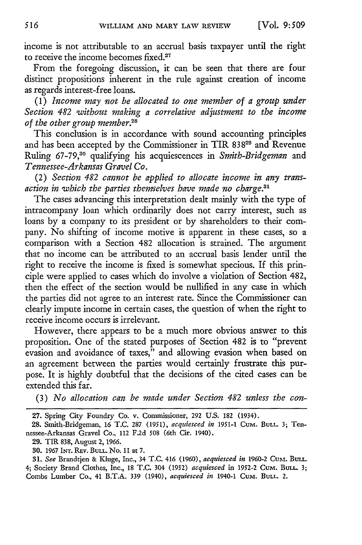income is not attributable to an accrual basis taxpayer until the right to receive the income becomes fixed.27

From the foregoing discussion, it can be seen that there are four distinct propositions inherent in the rule against creation of income as regards interest-free loans.

(1) *Income may not be allocated to one member of a group under Section 482 without making a correlative adjustment to the income of the other group member.28*

This conclusion is in accordance with sound accounting principles and has been accepted by the Commissioner in TIR 838<sup>29</sup> and Revenue Ruling 67-79,"0 qualifying his acquiescences in *Smith-Bridgeman* and *Tennessee-Arkansas Gravel Co.*

(2) *Section 482 cannot be applied to allocate income in any transaction in which the parties themselves have made no charge.<sup>1</sup>*

The cases advancing this interpretation dealt mainly with the type of intracompany loan which ordinarily does not carry interest, such as loans by a company to its president or by shareholders to their company. No shifting of income motive is apparent in these cases, so a comparison with a Section 482 allocation is strained. The argument that no income can be attributed to an accrual basis lender until the right to receive the income is fixed is somewhat specious. If this principle were applied to cases which do involve a violation of Section 482, then the effect of the section would be nullified in any case in which the parties did not agree to an interest rate. Since the Commissioner can clearly impute income in certain cases, the question of when the right to receive income occurs is irrelevant.

However, there appears to be a much more obvious answer to this proposition. One of the stated purposes of Section 482 is to "prevent evasion and avoidance of taxes," and allowing evasion when based on an agreement between the parties would certainly frustrate this purpose. It is **highly** doubtful that the decisions of the cited cases can be extended this far.

(3) *No allocation can be made under Section 482 unless the con-*

*31. See* Brandtjen & Kluge, Inc., 34 T.C. 416 (1960), *acquiesced in* 1960-2 Cumt. BULL. 4; Society Brand Clothes, Inc., 18 T.C. 304 (1952) *acquiesced* in 1952-2 CuM. **BULL.** 3; Combs Lumber Co., 41 B.T.A. 339 (1940), *acquiesced in* 1940-1 CuM. **BULL.** 2.

**<sup>27.</sup>** Spring City Foundry Co. v. Commissioner, 292 **U.S. 182** (1934).

<sup>28.</sup> Smith-Bridgeman, 16 T.C. 287 (1951), *acquiesced in 1951-1* CuM. **BULL.** 3; Tennessee-Arkansas Gravel Co., 112 F.2d 508 (6th Cir. 1940).

<sup>29.</sup> TIR 838, August 2, 1966.

**<sup>30.</sup>** 1967 **INT.** REv. **BuLL.** No. 11 at 7.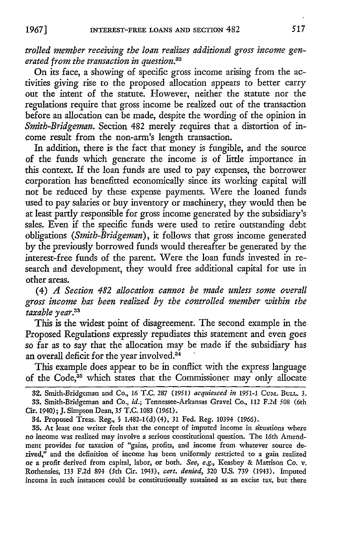INTEREST-FREE **LOANS** AND SECTION 482

*trolled member receiving the loan realizes additional gross income generated from the transaction in question.32*

On its face, a showing of specific gross income arising from the activities giving rise to the proposed allocation appears to better carry out the intent of the statute. However, neither the statute nor the regulations require that gross income be realized out of the transaction before an allocation can be made, despite the wording of the opinion in *Smith-Bridgeman.* Section 482 merely requires that a distortion of income result from the non-arm's length transaction.

In addition, there is the fact that money is fungible, and the source of the funds which generate the income is of little importance in this context. If the loan funds are used to pay expenses, the borrower corporation has benefitted economically since its working capital will not be reduced by these expense payments. Were the loaned funds used to pay salaries or buy inventory or machinery, they would then be at least partly responsible for gross income generated by the subsidiary's sales. Even if the specific funds were used to retire outstanding debt obligations *(Smith-Bridgeman),* it follows that gross income generated by the previously borrowed funds would thereafter be generated by the interest-free funds of the parent. Were the loan funds invested in research and development, they would free additional capital for use in other areas.

(4) *A Section 482 allocation cannot be made unless some overall gross income has been realized by the controlled member within the taxable year<sup>3</sup> <sup>3</sup>*

This is the widest point of disagreement. The second example in the Proposed Regulations expressly repudiates this statement and even goes so far as to say that the allocation may be made if the subsidiary has an overall deficit for the year involved.<sup>34</sup>

This example does appear to be in conflict with the express language of the Code,<sup>35</sup> which states that the Commissioner may only allocate

*19671*

**<sup>32.</sup>** Smith-Bridgeman and Co., 16 T.C. 287 *(1951) acquiesced in 1951-1* CuM. BULL. 3. 33. Smith-Bridgeman and Co., *id.;* Tennessee-Arkansas Gravel Co., 112 F.2d 508 (6th Cir. 1940); J. Simpson Dean, *35* T.C. 1083 (1961).

<sup>34.</sup> Proposed Treas. Reg., **§** 1.482-1(d) (4), 31 Fed. Reg. 10394 *(1966).*

<sup>35.</sup> At least one writer feels that the concept of imputed income in situations where no income was realized may involve a serious constitutional question. The 16th Amendment provides for taxation of "gains, profits, and income from whatever source derived," and the definition of income has been uniformly restricted to a gain realized or a profit derived from capital, labor, or both. *See, e.g.,* Keasbey & Mattison Co. v. Rothensies, 133 F.2d 894 (5th Cir. 1943), *cert. denied,* 320 U.S. 739 (1943). Imputed income in such instances could be constitutionally sustained as an excise tax, but there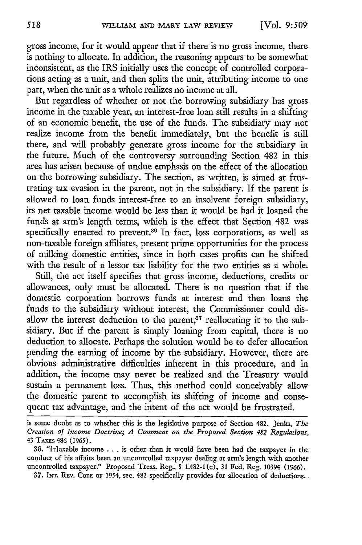gross income, for it would appear that if there is no gross income, there is nothing to allocate. In addition, the reasoning appears to be somewhat inconsistent, as the IRS initially uses the concept of controlled corporations acting as a unit, and then splits the unit, attributing income to one part, when the unit as a whole realizes no income at all.

But regardless of whether or not the borrowing subsidiary has gross income in the taxable year, an interest-free loan still results in a shifting of an economic benefit, the use of the funds. The subsidiary may not realize income from the benefit immediately, but the benefit is still there, and will probably generate gross income for the subsidiary in the future. Much of the controversy surrounding Section 482 in this area has arisen because of undue emphasis on the effect of the allocation on the borrowing subsidiary. The section, as written, is aimed at frustrating tax evasion in the parent, not in the subsidiary. If the parent is allowed to loan funds interest-free to an insolvent foreign subsidiary, its net taxable income would be less than it would be had it loaned the funds at arm's length terms, which is the effect that Section 482 was specifically enacted to prevent.<sup>36</sup> In fact, loss corporations, as well as non-taxable foreign affiliates, present prime opportunities for the process of milking domestic entities, since in both cases profits can be shifted with the result of a lessor tax liability for the two entities as a whole.

Still, the act itself specifies that gross income, deductions, credits or allowances, only must be allocated. There is no question that if the domestic corporation borrows funds at interest and then loans the funds to the subsidiary without interest, the Commissioner could disallow the interest deduction to the parent,<sup>37</sup> reallocating it to the subsidiary. But if the parent is simply loaning from capital, there is no deduction to allocate. Perhaps the solution would be to defer allocation pending the earning of income by the subsidiary. However, there are obvious administrative difficulties inherent in this procedure, and in addition, the income may never be realized and the Treasury would sustain a permanent loss. Thus, this method could conceivably allow the domestic parent to accomplish its shifting of income and consequent tax advantage, and the intent of the act would be frustrated.

37. **Nr.** REv. CODE OF 1954, see. 482 specifically provides for allocation of deductions.

is some doubt as to whether this is the legislative purpose of Section 482. Jenks, *The Creation of Income Doctrine; A Comment on the Proposed Section 482 Regulations,* 43 TAxs 486 **(1965).**

<sup>36. &</sup>quot;[t]axable income . . . is other than it would have been had the taxpayer in the conduct of his affairs been an uncontrolled taxpayer dealing at arm's length with another uncontrolled taxpayer." Proposed Treas. Reg., § 1.482-1 (c), 31 Fed. Reg. 10394 (1966).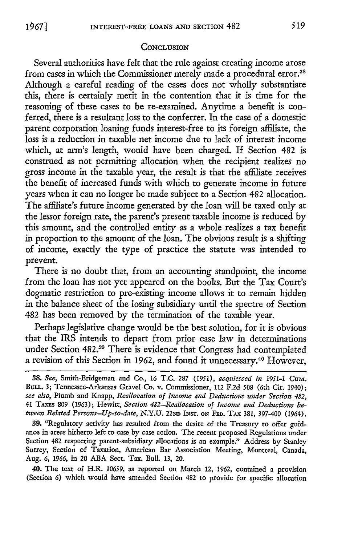#### **CONCLUSION**

Several authorities have felt that the rule against creating income arose from cases in which the Commissioner merely made a procedural error.<sup>38</sup> Although a careful reading of the cases does not wholly substantiate this, there is certainly merit in the contention that it is time for the reasoning of these cases to be re-examined. Anytime a benefit is conferred, there is a resultant loss to the conferrer. In the case of a domestic parent corporation loaning funds interest-free to its foreign affiliate, the loss is a reduction in taxable net income due to lack of interest income which, at arm's length, would have been charged. If Section 482 is construed as not permitting allocation when the recipient realizes no gross income in the taxable year, the result is that the affiliate receives the benefit of increased funds with which to generate income in future years when it can no longer be made subject to a Section 482 allocation. The affiliate's future income generated by the loan will be taxed only at the lessor foreign rate, the parent's present taxable income is reduced by this amount, and the controlled entity as a whole realizes a tax benefit in proportion to the amount of the loan. The obvious result is a shifting of income, exactly the type of practice the statute was intended to prevent.

There is no doubt that, from an accounting standpoint, the income from the loan has not yet appeared on the books. But the Tax Court's dogmatic restriction to pre-existing income allows it to remain hidden in the balance sheet of the losing subsidiary until the spectre of Section 482 has been removed by the termination of the taxable year.

Perhaps legislative change would be the best solution, for it is obvious that the IRS intends to depart from prior case law in determinations under Section 482.<sup>39</sup> There is evidence that Congress had contemplated a revision of this Section in 1962, and found it unnecessary.<sup>40</sup> However,

40. The text of H.R. 10659, as reported on March 12, 1962, contained a provision (Section 6) which would have amended Section 482 to provide for specific allocation

*<sup>38.</sup> See,* Smith-Bridgeman and Co., 16 T.C. 287 *(1951), acquiesced in 1951-1* **GuM.** BuLL. 3; Tennessee-Arkansas Gravel Co. v. Commissioner, 112 F.2d 508 (6th Cir. 1940); *see also,* Plumb and Knapp, *Reallocation of Income and Deductions under Section 482,* 41 TAxEs 809 (1963); Hewitt, *Section 482-Reallocation of Income and Deductions bet'ween Related Persons-Up-to-date,* N.Y.U. **22ND** INST. ON **FED.** TAX 381, 397-400 (1964).

**<sup>39.</sup>** "Regulatory activity has resulted from the desire of the Treasury to offer guidance in areas hitherto left to case by case action. The recent proposed Regulations under Section 482 respecting parent-subsidiary allocations is an example." Address by Stanley Surrey, Section of Taxation, American Bar Association Meeting, Montreal, Canada, Aug. *6, 1966,* in 20 ABA Sect. Tax. Bull. 13, 20.